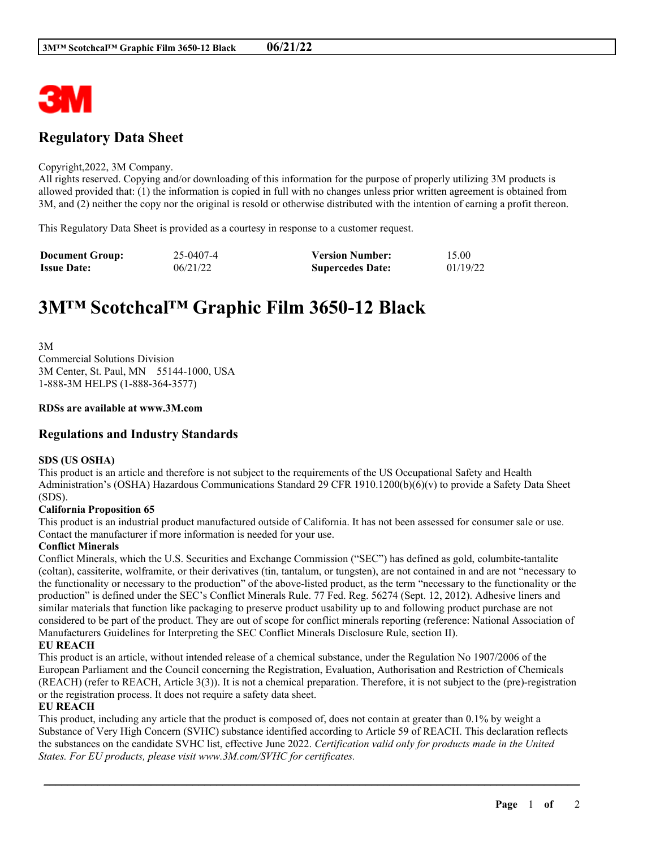

# **Regulatory Data Sheet**

#### Copyright,2022, 3M Company.

All rights reserved. Copying and/or downloading of this information for the purpose of properly utilizing 3M products is allowed provided that: (1) the information is copied in full with no changes unless prior written agreement is obtained from 3M, and (2) neither the copy nor the original is resold or otherwise distributed with the intention of earning a profit thereon.

This Regulatory Data Sheet is provided as a courtesy in response to a customer request.

| <b>Document Group:</b> | 25-0407-4 | <b>Version Number:</b>  | 15.00    |
|------------------------|-----------|-------------------------|----------|
| <b>Issue Date:</b>     | 06/21/22  | <b>Supercedes Date:</b> | 01/19/22 |

# **3M™ Scotchcal™ Graphic Film 3650-12 Black**

3M Commercial Solutions Division 3M Center, St. Paul, MN 55144-1000, USA 1-888-3M HELPS (1-888-364-3577)

#### **RDSs are available at www.3M.com**

# **Regulations and Industry Standards**

#### **SDS (US OSHA)**

This product is an article and therefore is not subject to the requirements of the US Occupational Safety and Health Administration's (OSHA) Hazardous Communications Standard 29 CFR 1910.1200(b)(6)(v) to provide a Safety Data Sheet (SDS).

#### **California Proposition 65**

This product is an industrial product manufactured outside of California. It has not been assessed for consumer sale or use. Contact the manufacturer if more information is needed for your use.

#### **Conflict Minerals**

Conflict Minerals, which the U.S. Securities and Exchange Commission ("SEC") has defined as gold, columbite-tantalite (coltan), cassiterite, wolframite, or their derivatives (tin, tantalum, or tungsten), are not contained in and are not "necessary to the functionality or necessary to the production" of the above-listed product, as the term "necessary to the functionality or the production" is defined under the SEC's Conflict Minerals Rule. 77 Fed. Reg. 56274 (Sept. 12, 2012). Adhesive liners and similar materials that function like packaging to preserve product usability up to and following product purchase are not considered to be part of the product. They are out of scope for conflict minerals reporting (reference: National Association of Manufacturers Guidelines for Interpreting the SEC Conflict Minerals Disclosure Rule, section II).

#### **EU REACH**

This product is an article, without intended release of a chemical substance, under the Regulation No 1907/2006 of the European Parliament and the Council concerning the Registration, Evaluation, Authorisation and Restriction of Chemicals (REACH) (refer to REACH, Article 3(3)). It is not a chemical preparation. Therefore, it is not subject to the (pre)-registration or the registration process. It does not require a safety data sheet.

#### **EU REACH**

This product, including any article that the product is composed of, does not contain at greater than 0.1% by weight a Substance of Very High Concern (SVHC) substance identified according to Article 59 of REACH. This declaration reflects the substances on the candidate SVHC list, effective June 2022. *Certification valid only for products made in the United States. For EU products, please visit www.3M.com/SVHC for certificates.*

\_\_\_\_\_\_\_\_\_\_\_\_\_\_\_\_\_\_\_\_\_\_\_\_\_\_\_\_\_\_\_\_\_\_\_\_\_\_\_\_\_\_\_\_\_\_\_\_\_\_\_\_\_\_\_\_\_\_\_\_\_\_\_\_\_\_\_\_\_\_\_\_\_\_\_\_\_\_\_\_\_\_\_\_\_\_\_\_\_\_